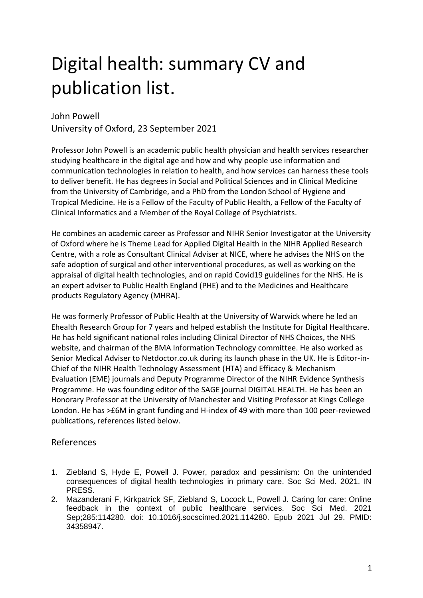## Digital health: summary CV and publication list.

## John Powell University of Oxford, 23 September 2021

Professor John Powell is an academic public health physician and health services researcher studying healthcare in the digital age and how and why people use information and communication technologies in relation to health, and how services can harness these tools to deliver benefit. He has degrees in Social and Political Sciences and in Clinical Medicine from the University of Cambridge, and a PhD from the London School of Hygiene and Tropical Medicine. He is a Fellow of the Faculty of Public Health, a Fellow of the Faculty of Clinical Informatics and a Member of the Royal College of Psychiatrists.

He combines an academic career as Professor and NIHR Senior Investigator at the University of Oxford where he is Theme Lead for Applied Digital Health in the NIHR Applied Research Centre, with a role as Consultant Clinical Adviser at NICE, where he advises the NHS on the safe adoption of surgical and other interventional procedures, as well as working on the appraisal of digital health technologies, and on rapid Covid19 guidelines for the NHS. He is an expert adviser to Public Health England (PHE) and to the Medicines and Healthcare products Regulatory Agency (MHRA).

He was formerly Professor of Public Health at the University of Warwick where he led an Ehealth Research Group for 7 years and helped establish the Institute for Digital Healthcare. He has held significant national roles including Clinical Director of NHS Choices, the NHS website, and chairman of the BMA Information Technology committee. He also worked as Senior Medical Adviser to Netdoctor.co.uk during its launch phase in the UK. He is Editor-in-Chief of the NIHR Health Technology Assessment (HTA) and Efficacy & Mechanism Evaluation (EME) journals and Deputy Programme Director of the NIHR Evidence Synthesis Programme. He was founding editor of the SAGE journal DIGITAL HEALTH. He has been an Honorary Professor at the University of Manchester and Visiting Professor at Kings College London. He has >£6M in grant funding and H-index of 49 with more than 100 peer-reviewed publications, references listed below.

## References

- 1. Ziebland S, Hyde E, Powell J. Power, paradox and pessimism: On the unintended consequences of digital health technologies in primary care. Soc Sci Med. 2021. IN PRESS.
- 2. Mazanderani F, Kirkpatrick SF, Ziebland S, Locock L, Powell J. Caring for care: Online feedback in the context of public healthcare services. Soc Sci Med. 2021 Sep;285:114280. doi: 10.1016/j.socscimed.2021.114280. Epub 2021 Jul 29. PMID: 34358947.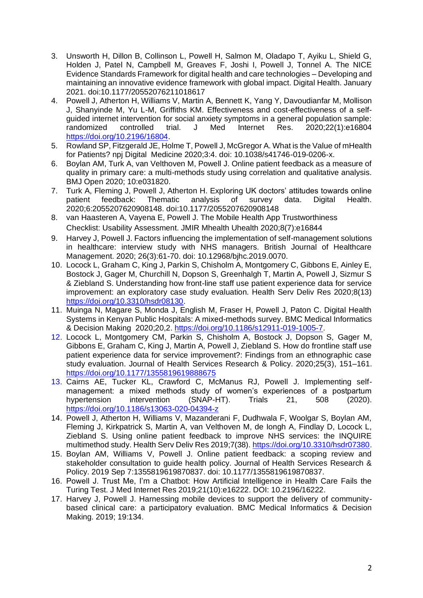- 3. Unsworth H, Dillon B, Collinson L, Powell H, Salmon M, Oladapo T, Ayiku L, Shield G, Holden J, Patel N, Campbell M, Greaves F, Joshi I, Powell J, Tonnel A. The NICE Evidence Standards Framework for digital health and care technologies – Developing and maintaining an innovative evidence framework with global impact. Digital Health. January 2021. doi:10.1177/20552076211018617
- 4. Powell J, Atherton H, Williams V, Martin A, Bennett K, Yang Y, Davoudianfar M, Mollison J, Shanyinde M, Yu L-M, Griffiths KM. Effectiveness and cost-effectiveness of a selfguided internet intervention for social anxiety symptoms in a general population sample: randomized controlled trial. J Med Internet Res. 2020;22(1):e16804 [https://doi.org/10.2196/16804.](https://doi.org/10.2196/16804)
- 5. Rowland SP, Fitzgerald JE, Holme T, Powell J, McGregor A. What is the Value of mHealth for Patients? npj Digital Medicine 2020;3:4. doi: 10.1038/s41746-019-0206-x.
- 6. Boylan AM, Turk A, van Velthoven M, Powell J. Online patient feedback as a measure of quality in primary care: a multi-methods study using correlation and qualitative analysis. BMJ Open 2020; 10:e031820.
- 7. Turk A, Fleming J, Powell J, Atherton H. Exploring UK doctors' attitudes towards online patient feedback: Thematic analysis of survey data. Digital Health. 2020;6:2055207620908148. doi:10.1177/2055207620908148
- 8. van Haasteren A, Vayena E, Powell J. The Mobile Health App Trustworthiness Checklist: Usability Assessment. JMIR Mhealth Uhealth 2020;8(7):e16844
- 9. Harvey J, Powell J. Factors influencing the implementation of self-management solutions in healthcare: interview study with NHS managers. British Journal of Healthcare Management. 2020; 26(3):61-70. doi: 10.12968/bjhc.2019.0070.
- 10. Locock L, Graham C, King J, Parkin S, Chisholm A, Montgomery C, Gibbons E, Ainley E, Bostock J, Gager M, Churchill N, Dopson S, Greenhalgh T, Martin A, Powell J, Sizmur S & Ziebland S. Understanding how front-line staff use patient experience data for service improvement: an exploratory case study evaluation. Health Serv Deliv Res 2020;8(13) [https://doi.org/10.3310/hsdr08130.](https://doi.org/10.3310/hsdr08130)
- 11. Muinga N, Magare S, Monda J, English M, Fraser H, Powell J, Paton C. Digital Health Systems in Kenyan Public Hospitals: A mixed-methods survey. BMC Medical Informatics & Decision Making 2020;20,2. [https://doi.org/10.1186/s12911-019-1005-7.](https://doi.org/10.1186/s12911-019-1005-7)
- 12. Locock L, Montgomery CM, Parkin S, Chisholm A, Bostock J, Dopson S, Gager M, Gibbons E, Graham C, King J, Martin A, Powell J, Ziebland S. How do frontline staff use patient experience data for service improvement?: Findings from an ethnographic case study evaluation. Journal of Health Services Research & Policy. 2020;25(3), 151–161. <https://doi.org/10.1177/1355819619888675>
- 13. Cairns AE, Tucker KL, Crawford C, McManus RJ, Powell J. Implementing selfmanagement: a mixed methods study of women's experiences of a postpartum<br>hypertension intervention (SNAP-HT). Trials 21, 508 (2020). (SNAP-HT). Trials 21, 508 (2020). <https://doi.org/10.1186/s13063-020-04394-z>
- 14. Powell J, Atherton H, Williams V, Mazanderani F, Dudhwala F, Woolgar S, Boylan AM, Fleming J, Kirkpatrick S, Martin A, van Velthoven M, de Iongh A, Findlay D, Locock L, Ziebland S. Using online patient feedback to improve NHS services: the INQUIRE multimethod study. Health Serv Deliv Res 2019;7(38). [https://doi.org/10.3310/hsdr07380.](https://doi.org/10.3310/hsdr07380)
- 15. Boylan AM, Williams V, Powell J. Online patient feedback: a scoping review and stakeholder consultation to guide health policy. Journal of Health Services Research & Policy. 2019 Sep 7:1355819619870837. doi: 10.1177/1355819619870837.
- 16. Powell J. Trust Me, I'm a Chatbot: How Artificial Intelligence in Health Care Fails the Turing Test. J Med Internet Res 2019;21(10):e16222. DOI: 10.2196/16222.
- 17. Harvey J, Powell J. Harnessing mobile devices to support the delivery of communitybased clinical care: a participatory evaluation. BMC Medical Informatics & Decision Making. 2019; 19:134.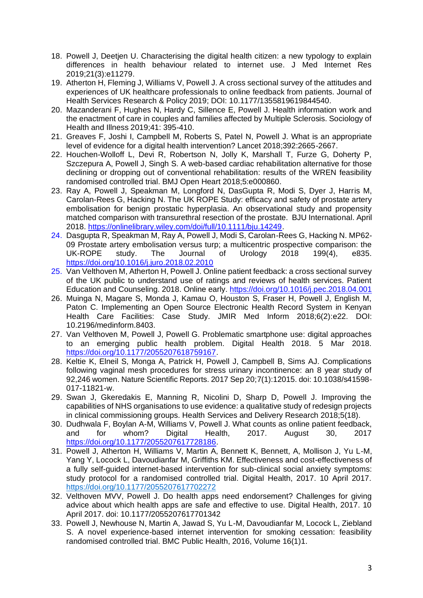- 18. Powell J, Deetjen U. Characterising the digital health citizen: a new typology to explain differences in health behaviour related to internet use. J Med Internet Res 2019;21(3):e11279.
- 19. Atherton H, Fleming J, Williams V, Powell J. A cross sectional survey of the attitudes and experiences of UK healthcare professionals to online feedback from patients. Journal of Health Services Research & Policy 2019; DOI: 10.1177/1355819619844540.
- 20. Mazanderani F, Hughes N, Hardy C, Sillence E, Powell J. Health information work and the enactment of care in couples and families affected by Multiple Sclerosis. Sociology of Health and Illness 2019;41: 395-410.
- 21. Greaves F, Joshi I, Campbell M, Roberts S, Patel N, Powell J. What is an appropriate level of evidence for a digital health intervention? Lancet 2018;392:2665-2667.
- 22. Houchen-Wolloff L, Devi R, Robertson N, Jolly K, Marshall T, Furze G, Doherty P, Szczepura A, Powell J, Singh S. A web-based cardiac rehabilitation alternative for those declining or dropping out of conventional rehabilitation: results of the WREN feasibility randomised controlled trial. BMJ Open Heart 2018;5:e000860.
- 23. Ray A, Powell J, Speakman M, Longford N, DasGupta R, Modi S, Dyer J, Harris M, Carolan-Rees G, Hacking N. The UK ROPE Study: efficacy and safety of prostate artery embolisation for benign prostatic hyperplasia. An observational study and propensity matched comparison with transurethral resection of the prostate. BJU International. April 2018. [https://onlinelibrary.wiley.com/doi/full/10.1111/bju.14249.](https://onlinelibrary.wiley.com/doi/full/10.1111/bju.14249)
- 24. Dasgupta R, Speakman M, Ray A, Powell J, Modi S, Carolan-Rees G, Hacking N. MP62- 09 Prostate artery embolisation versus turp; a multicentric prospective comparison: the UK-ROPE study. The Journal of Urology 2018 199(4), e835. <https://doi.org/10.1016/j.juro.2018.02.2010>
- 25. Van Velthoven M, Atherton H, Powell J. Online patient feedback: a cross sectional survey of the UK public to understand use of ratings and reviews of health services. Patient Education and Counseling. 2018. Online early.<https://doi.org/10.1016/j.pec.2018.04.001>
- 26. Muinga N, Magare S, Monda J, Kamau O, Houston S, Fraser H, Powell J, English M, Paton C. Implementing an Open Source Electronic Health Record System in Kenyan Health Care Facilities: Case Study. JMIR Med Inform 2018;6(2):e22. DOI: 10.2196/medinform.8403.
- 27. Van Velthoven M, Powell J, Powell G. Problematic smartphone use: digital approaches to an emerging public health problem. Digital Health 2018. 5 Mar 2018. [https://doi.org/10.1177/2055207618759167.](https://doi.org/10.1177/2055207618759167)
- 28. Keltie K, Elneil S, Monga A, Patrick H, Powell J, Campbell B, Sims AJ. Complications following vaginal mesh procedures for stress urinary incontinence: an 8 year study of 92,246 women. Nature Scientific Reports. 2017 Sep 20;7(1):12015. doi: 10.1038/s41598- 017-11821-w.
- 29. Swan J, Gkeredakis E, Manning R, Nicolini D, Sharp D, Powell J. Improving the capabilities of NHS organisations to use evidence: a qualitative study of redesign projects in clinical commissioning groups. Health Services and Delivery Research 2018;5(18).
- 30. Dudhwala F, Boylan A-M, Williams V, Powell J. What counts as online patient feedback, and for whom? Digital Health, 2017. August 30, 2017 [https://doi.org/10.1177/2055207617728186.](https://doi.org/10.1177/2055207617728186)
- 31. Powell J, Atherton H, Williams V, Martin A, Bennett K, Bennett, A, Mollison J, Yu L-M, Yang Y, Locock L, Davoudianfar M, Griffiths KM. Effectiveness and cost-effectiveness of a fully self-guided internet-based intervention for sub-clinical social anxiety symptoms: study protocol for a randomised controlled trial. Digital Health, 2017. 10 April 2017. [https://doi.org/10.1177/2055207617702272](https://doi.org/10.1177%2F2055207617702272)
- 32. Velthoven MVV, Powell J. Do health apps need endorsement? Challenges for giving advice about which health apps are safe and effective to use. Digital Health, 2017. 10 April 2017. doi: 10.1177/2055207617701342
- 33. Powell J, Newhouse N, Martin A, Jawad S, Yu L-M, Davoudianfar M, Locock L, Ziebland S. A novel experience-based internet intervention for smoking cessation: feasibility randomised controlled trial. BMC Public Health, 2016, Volume 16(1)1.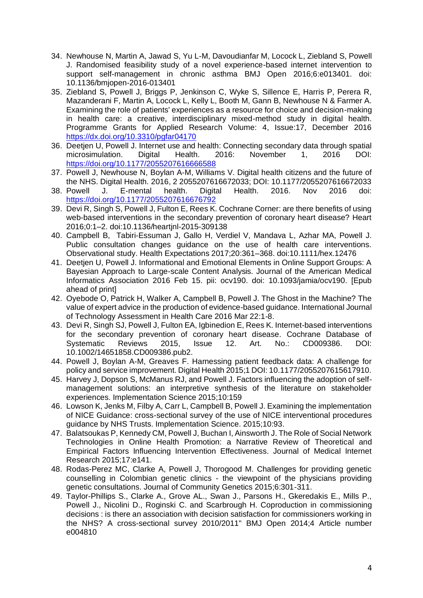- 34. Newhouse N, Martin A, Jawad S, Yu L-M, Davoudianfar M, Locock L, Ziebland S, Powell J. Randomised feasibility study of a novel experience-based internet intervention to support self-management in chronic asthma BMJ Open 2016;6:e013401. doi: 10.1136/bmjopen-2016-013401
- 35. Ziebland S, Powell J, Briggs P, Jenkinson C, Wyke S, Sillence E, Harris P, Perera R, Mazanderani F, Martin A, Locock L, Kelly L, Booth M, Gann B, Newhouse N & Farmer A. Examining the role of patients' experiences as a resource for choice and decision-making in health care: a creative, interdisciplinary mixed-method study in digital health. Programme Grants for Applied Research Volume: 4, Issue:17, December 2016 <https://dx.doi.org/10.3310/pgfar04170>
- 36. Deetjen U, Powell J. Internet use and health: Connecting secondary data through spatial microsimulation. Digital Health. 2016: November 1, 2016 DOI: <https://doi.org/10.1177/2055207616666588>
- 37. Powell J, Newhouse N, Boylan A-M, Williams V. Digital health citizens and the future of the NHS. Digital Health. 2016, 2 2055207616672033; DOI: 10.1177/2055207616672033
- 38. Powell J. E-mental health. Digital Health. 2016. Nov 2016 doi: <https://doi.org/10.1177/2055207616676792>
- 39. Devi R, Singh S, Powell J, Fulton E, Rees K. Cochrane Corner: are there benefits of using web-based interventions in the secondary prevention of coronary heart disease? Heart 2016;0:1–2. doi:10.1136/heartjnl-2015-309138
- 40. Campbell B, Tabiri-Essuman J, Gallo H, Verdiel V, Mandava L, Azhar MA, Powell J. Public consultation changes guidance on the use of health care interventions. Observational study. Health Expectations 2017;20:361–368. doi:10.1111/hex.12476
- 41. Deetjen U, Powell J. Informational and Emotional Elements in Online Support Groups: A Bayesian Approach to Large-scale Content Analysis. Journal of the American Medical Informatics Association 2016 Feb 15. pii: ocv190. doi: 10.1093/jamia/ocv190. [Epub ahead of print]
- 42. Oyebode O, Patrick H, Walker A, Campbell B, Powell J. The Ghost in the Machine? The value of expert advice in the production of evidence-based guidance. International Journal of Technology Assessment in Health Care 2016 Mar 22:1-8.
- 43. Devi R, Singh SJ, Powell J, Fulton EA, Igbinedion E, Rees K. Internet-based interventions for the secondary prevention of coronary heart disease. Cochrane Database of Systematic Reviews 2015, Issue 12. Art. No.: CD009386. DOI: 10.1002/14651858.CD009386.pub2.
- 44. Powell J, Boylan A-M, Greaves F. Harnessing patient feedback data: A challenge for policy and service improvement. Digital Health 2015;1 DOI: 10.1177/2055207615617910.
- 45. Harvey J, Dopson S, McManus RJ, and Powell J. Factors influencing the adoption of selfmanagement solutions: an interpretive synthesis of the literature on stakeholder experiences. Implementation Science 2015;10:159
- 46. Lowson K, Jenks M, Filby A, Carr L, Campbell B, Powell J. Examining the implementation of NICE Guidance: cross-sectional survey of the use of NICE interventional procedures guidance by NHS Trusts. Implementation Science. 2015;10:93.
- 47. Balatsoukas P, Kennedy CM, Powell J, Buchan I, Ainsworth J. The Role of Social Network Technologies in Online Health Promotion: a Narrative Review of Theoretical and Empirical Factors Influencing Intervention Effectiveness. Journal of Medical Internet Research 2015;17:e141.
- 48. Rodas-Perez MC, Clarke A, Powell J, Thorogood M. Challenges for providing genetic counselling in Colombian genetic clinics - the viewpoint of the physicians providing genetic consultations. Journal of Community Genetics 2015;6:301-311.
- 49. Taylor-Phillips S., Clarke A., Grove AL., Swan J., Parsons H., Gkeredakis E., Mills P., Powell J., Nicolini D., Roginski C. and Scarbrough H. Coproduction in commissioning decisions : is there an association with decision satisfaction for commissioners working in the NHS? A cross-sectional survey 2010/2011" BMJ Open 2014;4 Article number e004810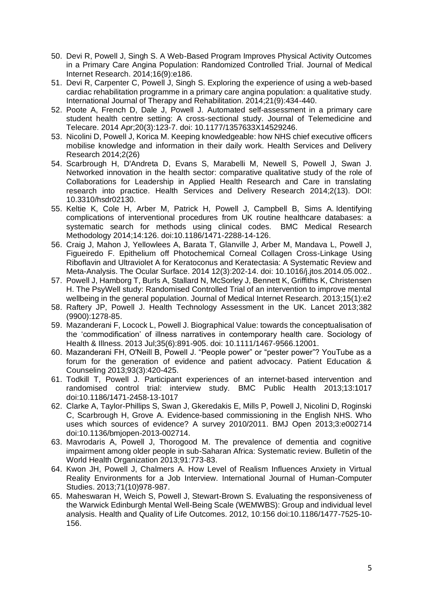- 50. Devi R, Powell J, Singh S. A Web-Based Program Improves Physical Activity Outcomes in a Primary Care Angina Population: Randomized Controlled Trial. Journal of Medical Internet Research. 2014;16(9):e186.
- 51. Devi R, Carpenter C, Powell J, Singh S. Exploring the experience of using a web-based cardiac rehabilitation programme in a primary care angina population: a qualitative study. International Journal of Therapy and Rehabilitation. 2014;21(9):434-440.
- 52. Poote A, French D, Dale J, Powell J. Automated self-assessment in a primary care student health centre setting: A cross-sectional study. Journal of Telemedicine and Telecare. 2014 Apr;20(3):123-7. doi: 10.1177/1357633X14529246.
- 53. Nicolini D, Powell J, Korica M. Keeping knowledgeable: how NHS chief executive officers mobilise knowledge and information in their daily work. Health Services and Delivery Research 2014;2(26)
- 54. Scarbrough H, D'Andreta D, Evans S, Marabelli M, Newell S, Powell J, Swan J. Networked innovation in the health sector: comparative qualitative study of the role of Collaborations for Leadership in Applied Health Research and Care in translating research into practice. Health Services and Delivery Research 2014;2(13). DOI: 10.3310/hsdr02130.
- 55. Keltie K, Cole H, Arber M, Patrick H, Powell J, Campbell B, Sims A. Identifying complications of interventional procedures from UK routine healthcare databases: a systematic search for methods using clinical codes. BMC Medical Research Methodology 2014;14:126. doi:10.1186/1471-2288-14-126.
- 56. Craig J, Mahon J, Yellowlees A, Barata T, Glanville J, Arber M, Mandava L, Powell J, Figueiredo F. Epithelium off Photochemical Corneal Collagen Cross-Linkage Using Riboflavin and Ultraviolet A for Keratoconus and Keratectasia: A Systematic Review and Meta-Analysis. The Ocular Surface. 2014 12(3):202-14. doi: 10.1016/j.jtos.2014.05.002..
- 57. Powell J, Hamborg T, Burls A, Stallard N, McSorley J, Bennett K, Griffiths K, Christensen H. The PsyWell study: Randomised Controlled Trial of an intervention to improve mental wellbeing in the general population. Journal of Medical Internet Research. 2013;15(1):e2
- 58. Raftery JP, Powell J. Health Technology Assessment in the UK. Lancet 2013;382 (9900):1278-85.
- 59. Mazanderani F, Locock L, Powell J. Biographical Value: towards the conceptualisation of the 'commodification' of illness narratives in contemporary health care. Sociology of Health & Illness. 2013 Jul;35(6):891-905. doi: 10.1111/1467-9566.12001.
- 60. Mazanderani FH, O'Neill B, Powell J. "People power" or "pester power"? YouTube as a forum for the generation of evidence and patient advocacy. Patient Education & Counseling 2013;93(3):420-425.
- 61. Todkill T, Powell J. Participant experiences of an internet-based intervention and randomised control trial: interview study. BMC Public Health 2013;13:1017 doi:10.1186/1471-2458-13-1017
- 62. Clarke A, Taylor-Phillips S, Swan J, Gkeredakis E, Mills P, Powell J, Nicolini D, Roginski C, Scarbrough H, Grove A. Evidence-based commissioning in the English NHS. Who uses which sources of evidence? A survey 2010/2011. BMJ Open 2013;3:e002714 doi:10.1136/bmjopen-2013-002714.
- 63. Mavrodaris A, Powell J, Thorogood M. The prevalence of dementia and cognitive impairment among older people in sub-Saharan Africa: Systematic review. Bulletin of the World Health Organization 2013;91:773-83.
- 64. Kwon JH, Powell J, Chalmers A. How Level of Realism Influences Anxiety in Virtual Reality Environments for a Job Interview. International Journal of Human-Computer Studies. 2013;71(10)978-987.
- 65. Maheswaran H, Weich S, Powell J, Stewart-Brown S. Evaluating the responsiveness of the Warwick Edinburgh Mental Well-Being Scale (WEMWBS): Group and individual level analysis. Health and Quality of Life Outcomes. 2012, 10:156 doi:10.1186/1477-7525-10- 156.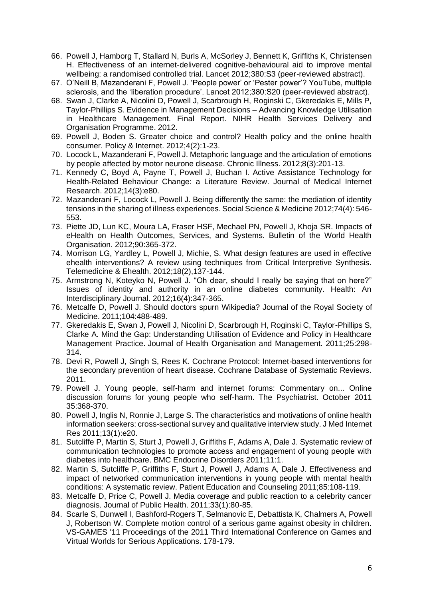- 66. Powell J, Hamborg T, Stallard N, Burls A, McSorley J, Bennett K, Griffiths K, Christensen H. Effectiveness of an internet-delivered cognitive-behavioural aid to improve mental wellbeing: a randomised controlled trial. Lancet 2012;380:S3 (peer-reviewed abstract).
- 67. O'Neill B, Mazanderani F, Powell J. 'People power' or 'Pester power'? YouTube, multiple sclerosis, and the 'liberation procedure'. Lancet 2012;380:S20 (peer-reviewed abstract).
- 68. Swan J, Clarke A, Nicolini D, Powell J, Scarbrough H, Roginski C, Gkeredakis E, Mills P, Taylor-Phillips S. Evidence in Management Decisions – Advancing Knowledge Utilisation in Healthcare Management. Final Report. NIHR Health Services Delivery and Organisation Programme. 2012.
- 69. Powell J, Boden S. Greater choice and control? Health policy and the online health consumer. Policy & Internet. 2012;4(2):1-23.
- 70. Locock L, Mazanderani F, Powell J. Metaphoric language and the articulation of emotions by people affected by motor neurone disease. Chronic Illness. 2012;8(3):201-13.
- 71. Kennedy C, Boyd A, Payne T, Powell J, Buchan I. Active Assistance Technology for Health-Related Behaviour Change: a Literature Review. Journal of Medical Internet Research. 2012;14(3):e80.
- 72. Mazanderani F, Locock L, Powell J. Being differently the same: the mediation of identity tensions in the sharing of illness experiences. Social Science & Medicine 2012;74(4): 546- 553.
- 73. Piette JD, Lun KC, Moura LA, Fraser HSF, Mechael PN, Powell J, Khoja SR. Impacts of eHealth on Health Outcomes, Services, and Systems. Bulletin of the World Health Organisation. 2012;90:365-372.
- 74. Morrison LG, Yardley L, Powell J, Michie, S. What design features are used in effective ehealth interventions? A review using techniques from Critical Interpretive Synthesis. Telemedicine & Ehealth. 2012;18(2),137-144.
- 75. Armstrong N, Koteyko N, Powell J. "Oh dear, should I really be saying that on here?" Issues of identity and authority in an online diabetes community. Health: An Interdisciplinary Journal. 2012;16(4):347-365.
- 76. Metcalfe D, Powell J. Should doctors spurn Wikipedia? Journal of the Royal Society of Medicine. 2011;104:488-489.
- 77. Gkeredakis E, Swan J, Powell J, Nicolini D, Scarbrough H, Roginski C, Taylor-Phillips S, Clarke A. Mind the Gap: Understanding Utilisation of Evidence and Policy in Healthcare Management Practice. Journal of Health Organisation and Management. 2011;25:298- 314.
- 78. Devi R, Powell J, Singh S, Rees K. Cochrane Protocol: Internet-based interventions for the secondary prevention of heart disease. Cochrane Database of Systematic Reviews. 2011.
- 79. Powell J. Young people, self-harm and internet forums: Commentary on... Online discussion forums for young people who self-harm. The Psychiatrist. October 2011 35:368-370.
- 80. Powell J, Inglis N, Ronnie J, Large S. The characteristics and motivations of online health information seekers: cross-sectional survey and qualitative interview study. J Med Internet Res 2011;13(1):e20.
- 81. Sutcliffe P, Martin S, Sturt J, Powell J, Griffiths F, Adams A, Dale J. Systematic review of communication technologies to promote access and engagement of young people with diabetes into healthcare. BMC Endocrine Disorders 2011;11:1.
- 82. Martin S, Sutcliffe P, Griffiths F, Sturt J, Powell J, Adams A, Dale J. Effectiveness and impact of networked communication interventions in young people with mental health conditions: A systematic review. Patient Education and Counseling 2011;85:108-119.
- 83. Metcalfe D, Price C, Powell J. Media coverage and public reaction to a celebrity cancer diagnosis. Journal of Public Health. 2011;33(1):80-85.
- 84. Scarle S, Dunwell I, Bashford-Rogers T, Selmanovic E, Debattista K, Chalmers A, Powell J, Robertson W. Complete motion control of a serious game against obesity in children. VS-GAMES '11 Proceedings of the 2011 Third International Conference on Games and Virtual Worlds for Serious Applications. 178-179.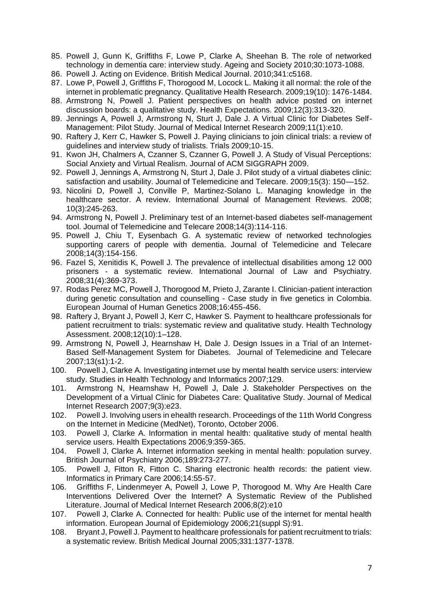- 85. Powell J, Gunn K, Griffiths F, Lowe P, Clarke A, Sheehan B. The role of networked technology in dementia care: interview study. Ageing and Society 2010;30:1073-1088.
- 86. Powell J. Acting on Evidence. British Medical Journal. 2010;341:c5168.
- 87. Lowe P, Powell J, Griffiths F, Thorogood M, Locock L. Making it all normal: the role of the internet in problematic pregnancy. Qualitative Health Research. 2009;19(10): 1476-1484.
- 88. Armstrong N, Powell J. Patient perspectives on health advice posted on internet discussion boards: a qualitative study. Health Expectations. 2009;12(3):313-320.
- 89. Jennings A, Powell J, Armstrong N, Sturt J, Dale J. A Virtual Clinic for Diabetes Self-Management: Pilot Study. Journal of Medical Internet Research 2009;11(1):e10.
- 90. Raftery J, Kerr C, Hawker S, Powell J. Paying clinicians to join clinical trials: a review of guidelines and interview study of trialists. Trials 2009;10-15.
- 91. Kwon JH, Chalmers A, Czanner S, Czanner G, Powell J. A Study of Visual Perceptions: Social Anxiety and Virtual Realism. Journal of ACM SIGGRAPH 2009.
- 92. Powell J, Jennings A, Armstrong N, Sturt J, Dale J. Pilot study of a virtual diabetes clinic: satisfaction and usability. Journal of Telemedicine and Telecare. 2009;15(3): 150—152.
- 93. Nicolini D, Powell J, Conville P, Martinez-Solano L. Managing knowledge in the healthcare sector. A review. International Journal of Management Reviews. 2008; 10(3):245-263.
- 94. Armstrong N, Powell J. Preliminary test of an Internet-based diabetes self-management tool. Journal of Telemedicine and Telecare 2008;14(3):114-116.
- 95. Powell J, Chiu T, Eysenbach G. A systematic review of networked technologies supporting carers of people with dementia. Journal of Telemedicine and Telecare 2008;14(3):154-156.
- 96. Fazel S, Xenitidis K, Powell J. The prevalence of intellectual disabilities among 12 000 prisoners - a systematic review. International Journal of Law and Psychiatry. 2008;31(4):369-373.
- 97. Rodas Perez MC, Powell J, Thorogood M, Prieto J, Zarante I. Clinician-patient interaction during genetic consultation and counselling - Case study in five genetics in Colombia. European Journal of Human Genetics 2008;16:455-456.
- 98. Raftery J, Bryant J, Powell J, Kerr C, Hawker S. Payment to healthcare professionals for patient recruitment to trials: systematic review and qualitative study. Health Technology Assessment. 2008;12(10):1–128.
- 99. Armstrong N, Powell J, Hearnshaw H, Dale J. Design Issues in a Trial of an Internet-Based Self-Management System for Diabetes. Journal of Telemedicine and Telecare 2007;13(s1):1-2.
- 100. Powell J, Clarke A. Investigating internet use by mental health service users: interview study. Studies in Health Technology and Informatics 2007;129.
- 101. Armstrong N, Hearnshaw H, Powell J, Dale J. Stakeholder Perspectives on the Development of a Virtual Clinic for Diabetes Care: Qualitative Study. Journal of Medical Internet Research 2007;9(3):e23.
- 102. Powell J. Involving users in ehealth research. Proceedings of the 11th World Congress on the Internet in Medicine (MedNet), Toronto, October 2006.
- 103. Powell J, Clarke A. Information in mental health: qualitative study of mental health service users. Health Expectations 2006;9:359-365.
- 104. Powell J, Clarke A. Internet information seeking in mental health: population survey. British Journal of Psychiatry 2006;189:273-277.
- 105. Powell J, Fitton R, Fitton C. Sharing electronic health records: the patient view. Informatics in Primary Care 2006;14:55-57.
- 106. Griffiths F, Lindenmeyer A, Powell J, Lowe P, Thorogood M. Why Are Health Care Interventions Delivered Over the Internet? A Systematic Review of the Published Literature. Journal of Medical Internet Research 2006;8(2):e10
- 107. Powell J, Clarke A. Connected for health: Public use of the internet for mental health information. European Journal of Epidemiology 2006;21(suppl S):91.
- 108. Bryant J, Powell J. Payment to healthcare professionals for patient recruitment to trials: a systematic review. British Medical Journal 2005;331:1377-1378.